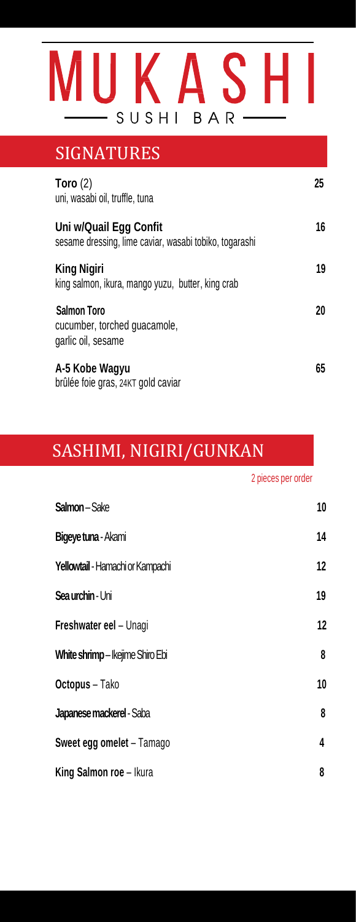

### SIGNATURES **Toro** (2) **25** uni, wasabi oil, truffle, tuna **Uni w/Quail Egg Confit <sup>16</sup>** sesame dressing, lime caviar, wasabi tobiko, togarashi **King Nigiri** 19 king salmon, ikura, mango yuzu, butter, king crab **Salmon Toro <sup>20</sup>** cucumber, torched guacamole, garlic oil, sesame **A-5 Kobe Wagyu 65** brûlée foie gras, 24KT gold caviar

### SASHIMI, NIGIRI/GUNKAN

ł

2 pieces per order

| <b>Salmon</b> – Sake             | 10 |
|----------------------------------|----|
| Bigeye tuna - Akami              | 14 |
| Yellowtail - Hamachi or Kampachi | 12 |
| Sea urchin - Uni                 | 19 |
| Freshwater eel - Unagi           | 12 |
| White shrimp-lkejime Shiro Ebi   | 8  |
| Octopus - Tako                   | 10 |
| Japanese mackerel - Saba         | 8  |
| Sweet egg omelet - Tamago        | 4  |
| King Salmon roe - Ikura          | 8  |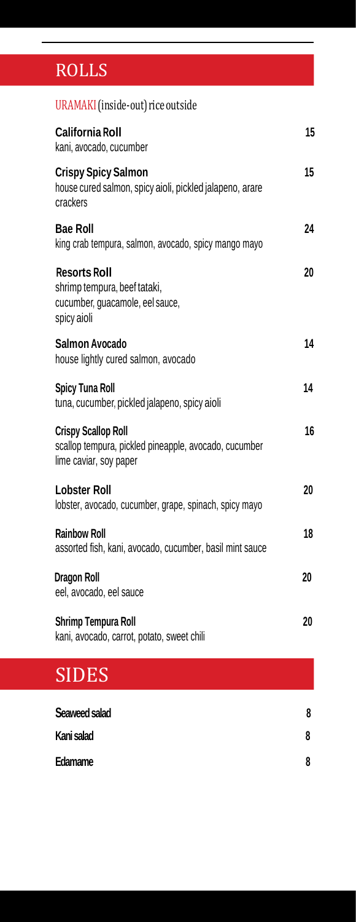# ROLLS ROLLS

| URAMAKI (inside-out) rice outside                                                                             |    |
|---------------------------------------------------------------------------------------------------------------|----|
| <b>California Roll</b><br>kani, avocado, cucumber                                                             | 15 |
| <b>Crispy Spicy Salmon</b><br>house cured salmon, spicy aioli, pickled jalapeno, arare<br>crackers            | 15 |
| <b>Bae Roll</b><br>king crab tempura, salmon, avocado, spicy mango mayo                                       | 24 |
| <b>Resorts Roll</b><br>shrimp tempura, beef tataki,<br>cucumber, guacamole, eel sauce,<br>spicy aioli         | 20 |
| Salmon Avocado<br>house lightly cured salmon, avocado                                                         | 14 |
| <b>Spicy Tuna Roll</b><br>tuna, cucumber, pickled jalapeno, spicy aioli                                       | 14 |
| <b>Crispy Scallop Roll</b><br>scallop tempura, pickled pineapple, avocado, cucumber<br>lime caviar, soy paper | 16 |
| <b>Lobster Roll</b><br>lobster, avocado, cucumber, grape, spinach, spicy mayo                                 | 20 |
| <b>Rainbow Roll</b><br>assorted fish, kani, avocado, cucumber, basil mint sauce                               | 18 |
| <b>Dragon Roll</b><br>eel, avocado, eel sauce                                                                 | 20 |
| Shrimp Tempura Roll<br>kani, avocado, carrot, potato, sweet chili                                             | 20 |
| <b>SIDES</b>                                                                                                  |    |
| Seaweed salad                                                                                                 | 8  |
| Kani salad                                                                                                    | 8  |
| Edamame                                                                                                       | 8  |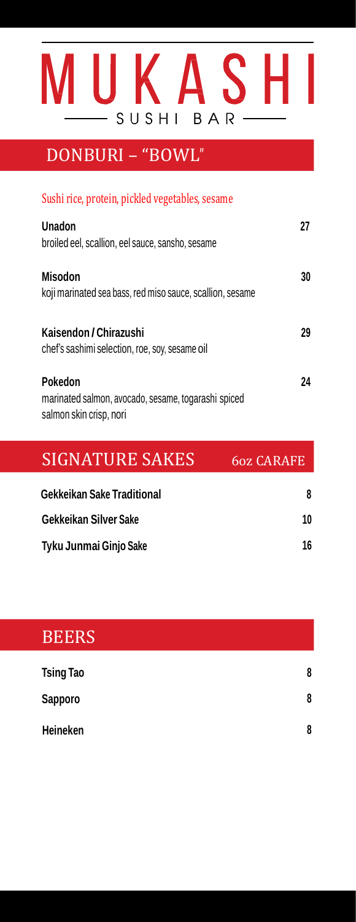

## DONBURI – "BOWL"

#### Sushi rice, protein, pickled vegetables, sesame

| Unadon<br>broiled eel, scallion, eel sauce, sansho, sesame                                |    |
|-------------------------------------------------------------------------------------------|----|
| <b>Misodon</b><br>koji marinated sea bass, red miso sauce, scallion, sesame               | 30 |
| Kaisendon / Chirazushi<br>chef's sashimi selection, roe, soy, sesame oil                  | 29 |
| Pokedon<br>marinated salmon, avocado, sesame, togarashi spiced<br>salmon skin crisp, nori | 24 |

| SIGNATURE SAKES            | 60z CARAFE |
|----------------------------|------------|
| Gekkeikan Sake Traditional | 8          |
| Gekkeikan Silver Sake      | 10         |
| Tyku Junmai Ginjo Sake     | 16         |

# **BEERS Tsing Tao 8 Sapporo 8 Heineken 8**